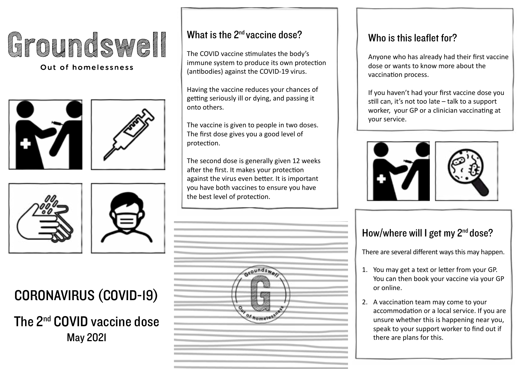# E pounds sel

#### Out of homelessness









## CORONAVIRUS (COVID-19)

The 2nd COVID vaccine dose May 2021

#### What is the 2<sup>nd</sup> vaccine dose?

The COVID vaccine stimulates the body's immune system to produce its own protection (antibodies) against the COVID-19 virus.

Having the vaccine reduces your chances of getting seriously ill or dying, and passing it onto others.

The vaccine is given to people in two doses. The first dose gives you a good level of protection.

The second dose is generally given 12 weeks after the first. It makes your protection against the virus even better. It is important you have both vaccines to ensure you have the best level of protection.



## The Zillar vaccine dose? The sum  $\vert$  and  $\vert$  . Who is this leaflet for?

Anyone who has already had their first vaccine dose or wants to know more about the vaccination process.

If you haven't had your first vaccine dose you still can, it's not too late – talk to a support worker, your GP or a clinician vaccinating at your service.



#### How/where will I get my 2<sup>nd</sup> dose?

There are several different ways this may happen.

- 1. You may get a text or letter from your GP. You can then book your vaccine via your GP or online.
- 2. A vaccination team may come to your accommodation or a local service. If you are unsure whether this is happening near you, speak to your support worker to find out if there are plans for this.